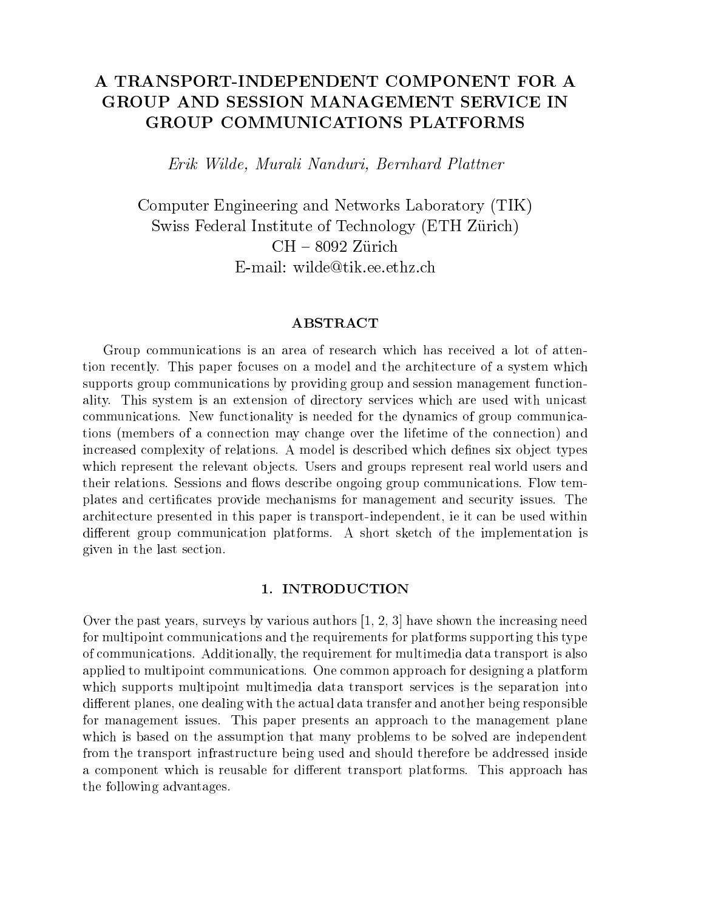# A TRANSPORT-INDEPENDENT COMPONENT FOR A GROUP AND SESSION MANAGEMENT SERVICE IN **GROUP COMMUNICATIONS PLATFORMS**

Erik Wilde, Murali Nanduri, Bernhard Plattner

Computer Engineering and Networks Laboratory (TIK)  $S$  , and  $S$  federal institute of  $S$  . The  $S$  is the  $\Delta$   $\rightarrow$  Technology (ETH  $\rightarrow$ CH { <sup>8092</sup> Zurich E-mail: wilde@tik.ee.ethz.ch

#### ABSTRACT

Group communications is an area of research which has received a lot of attention recently. This paper focuses on a model and the architecture of a system which supports group communications by providing group and session management functionality. This system is an extension of directory services which are used with unicast communications. New functionality is needed for the dynamics of group communications (members of a connection may change over the lifetime of the connection) and increased complexity of relations. A model is described which defines six object types which represent the relevant objects. Users and groups represent real world users and their relations. Sessions and flows describe ongoing group communications. Flow templates and certicates provide mechanisms for management and security issues. The architecture presented in this paper is transport-independent, ie it can be used within different group communication platforms. A short sketch of the implementation is given in the last section.

### 1. INTRODUCTION

Over the past years, surveys by various authors [1, 2, 3] have shown the increasing need for multipoint communications and the requirements for platforms supporting this type of communications. Additionally, the requirement for multimedia data transport is also applied to multipoint communications. One common approach for designing a platform which supports multipoint multimedia data transport services is the separation into different planes, one dealing with the actual data transfer and another being responsible for management issues. This paper presents an approach to the management plane which is based on the assumption that many problems to be solved are independent from the transport infrastructure being used and should therefore be addressed inside a component which is reusable for different transport platforms. This approach has the following advantages.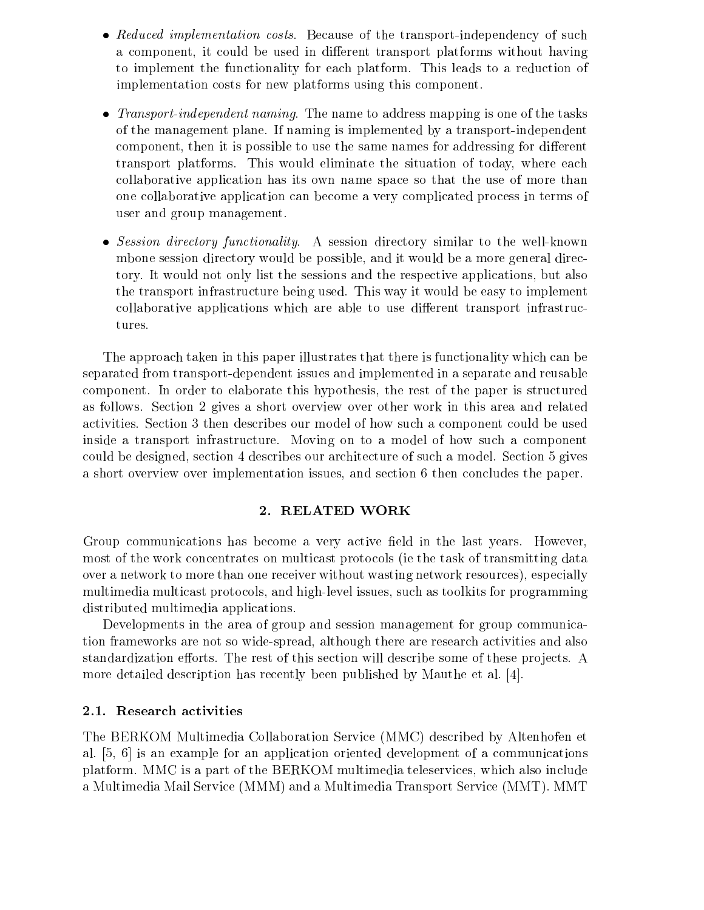- Reduced implementation costs. Because of the transport-independency of such a component, it could be used in different transport platforms without having to implement the functionality for each platform. This leads to a reduction of implementation costs for new platforms using this component.
- Transport-independent naming. The name to address mapping is one of the tasks of the management plane. If naming is implemented by a transport-independent component, then it is possible to use the same names for addressing for different transport platforms. This would eliminate the situation of today, where each collaborative application has its own name space so that the use of more than one collaborative application can become a very complicated process in terms of user and group management.
- Session directory functionality. A session directory similar to the well-known mbone session directory would be possible, and it would be a more general directory. It would not only list the sessions and the respective applications, but also the transport infrastructure being used. This way it would be easy to implement collaborative applications which are able to use different transport infrastructures.

The approach taken in this paper illustrates that there is functionality which can be separated from transport-dependent issues and implemented in a separate and reusable component. In order to elaborate this hypothesis, the rest of the paper is structured as follows. Section 2 gives a short overview over other work in this area and related activities. Section 3 then describes our model of how such a component could be used inside a transport infrastructure. Moving on to a model of how such a component could be designed, section 4 describes our architecture of such a model. Section 5 gives a short overview over implementation issues, and section 6 then concludes the paper.

### 2. RELATED WORK

Group communications has become a very active field in the last years. However, most of the work concentrates on multicast protocols (ie the task of transmitting data over a network to more than one receiver without wasting network resources), especially multimedia multicast protocols, and high-level issues, such as toolkits for programming distributed multimedia applications.

Developments in the area of group and session management for group communication frameworks are not so wide-spread, although there are research activities and also standardization efforts. The rest of this section will describe some of these projects. A more detailed description has recently been published by Mauthe et al. [4].

### 2.1. Research activities

The BERKOM Multimedia Collaboration Service (MMC) described by Altenhofen et al. [5, 6] is an example for an application oriented development of a communications platform. MMC is a part of the BERKOM multimedia teleservices, which also include a Multimedia Mail Service (MMM) and a Multimedia Transport Service (MMT). MMT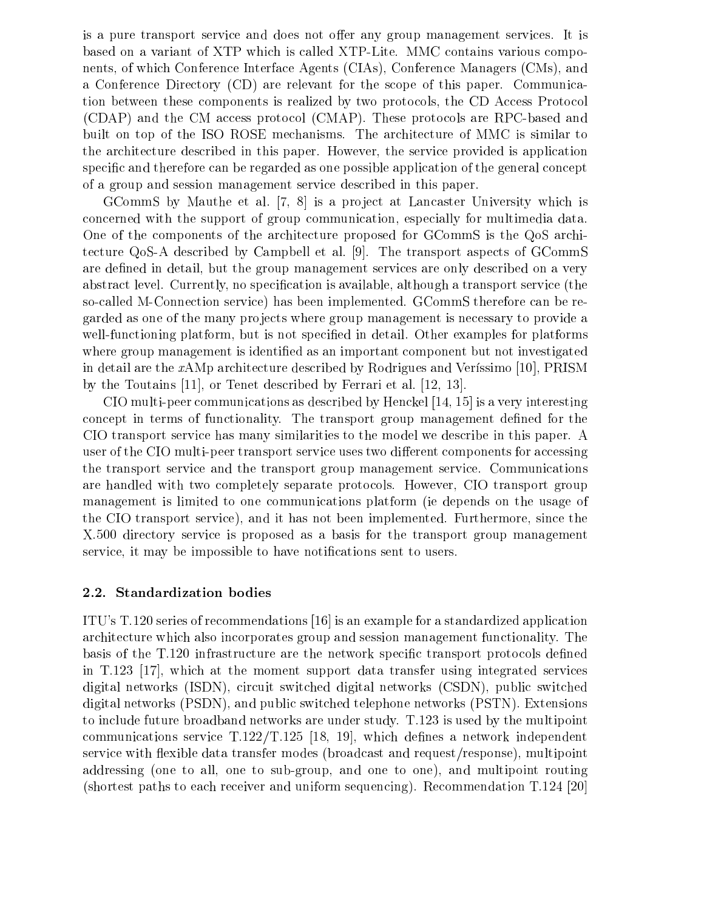is a pure transport service and does not offer any group management services. It is based on a variant of XTP which is called XTP-Lite. MMC contains various components, of which Conference Interface Agents (CIAs), Conference Managers (CMs), and a Conference Directory (CD) are relevant for the scope of this paper. Communication between these components is realized by two protocols, the CD Access Protocol (CDAP) and the CM access protocol (CMAP). These protocols are RPC-based and built on top of the ISO ROSE mechanisms. The architecture of MMC is similar to the architecture described in this paper. However, the service provided is application specific and therefore can be regarded as one possible application of the general concept of a group and session management service described in this paper.

GCommS by Mauthe et al. [7, 8] is a project at Lancaster University which is concerned with the support of group communication, especially for multimedia data. One of the components of the architecture proposed for GCommS is the QoS architecture QoS-A described by Campbell et al. [9]. The transport aspects of GCommS are defined in detail, but the group management services are only described on a very abstract level. Currently, no specification is available, although a transport service (the so-called M-Connection service) has been implemented. GCommS therefore can be regarded as one of the many projects where group management is necessary to provide a well-functioning platform, but is not specified in detail. Other examples for platforms where group management is identified as an important component but not investigated in detail are the  $xAMp$  architecture described by Rodrigues and Verissimo [10], PRISM by the Toutains [11], or Tenet described by Ferrari et al. [12, 13].

CIO multi-peer communications as described by Henckel [14, 15] is a very interesting concept in terms of functionality. The transport group management defined for the CIO transport service has many similarities to the model we describe in this paper. A user of the CIO multi-peer transport service uses two different components for accessing the transport service and the transport group management service. Communications are handled with two completely separate protocols. However, CIO transport group management is limited to one communications platform (ie depends on the usage of the CIO transport service), and it has not been implemented. Furthermore, since the X.500 directory service is proposed as a basis for the transport group management service, it may be impossible to have notifications sent to users.

#### 2.2. Standardization bodies

ITU's T.120 series of recommendations [16] is an example for a standardized application architecture which also incorporates group and session management functionality. The basis of the T.120 infrastructure are the network specific transport protocols defined in T.123 [17], which at the moment support data transfer using integrated services digital networks (ISDN), circuit switched digital networks (CSDN), public switched digital networks (PSDN), and public switched telephone networks (PSTN). Extensions to include future broadband networks are under study. T.123 is used by the multipoint communications service  $T.122/T.125$  [18, 19], which defines a network independent service with flexible data transfer modes (broadcast and request/response), multipoint addressing (one to all, one to sub-group, and one to one), and multipoint routing (shortest paths to each receiver and uniform sequencing). Recommendation T.124 [20]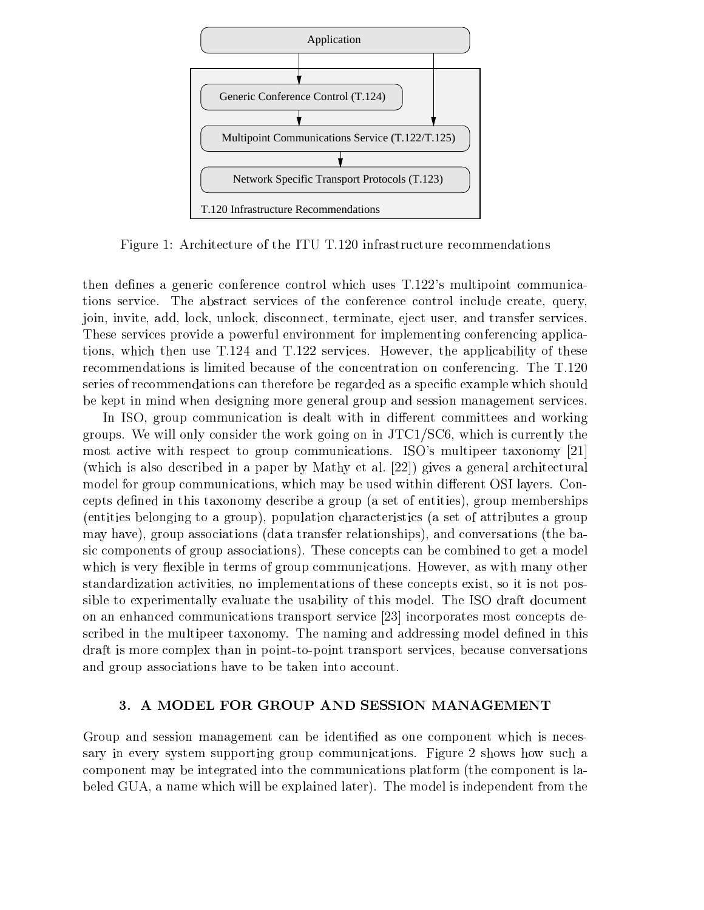

Figure 1: Architecture of the ITU T.120 infrastructure recommendations

then defines a generic conference control which uses T.122's multipoint communications service. The abstract services of the conference control include create, query, join, invite, add, lock, unlock, disconnect, terminate, eject user, and transfer services. These services provide a powerful environment for implementing conferencing applications, which then use T.124 and T.122 services. However, the applicability of these recommendations is limited because of the concentration on conferencing. The T.120 series of recommendations can therefore be regarded as a specic example which should be kept in mind when designing more general group and session management services.

In ISO, group communication is dealt with in different committees and working groups. We will only consider the work going on in JTC1/SC6, which is currently the most active with respect to group communications. ISO's multipeer taxonomy [21] (which is also described in a paper by Mathy et al. [22]) gives a general architectural model for group communications, which may be used within different OSI layers. Concepts defined in this taxonomy describe a group (a set of entities), group memberships (entities belonging to a group), population characteristics (a set of attributes a group may have), group associations (data transfer relationships), and conversations (the basic components of group associations). These concepts can be combined to get a model which is very flexible in terms of group communications. However, as with many other standardization activities, no implementations of these concepts exist, so it is not possible to experimentally evaluate the usability of this model. The ISO draft document on an enhanced communications transport service [23] incorporates most concepts described in the multipeer taxonomy. The naming and addressing model defined in this draft is more complex than in point-to-point transport services, because conversations and group associations have to be taken into account.

### 3. A MODEL FOR GROUP AND SESSION MANAGEMENT

Group and session management can be identied as one component which is necessary in every system supporting group communications. Figure 2 shows how such a component may be integrated into the communications platform (the component is labeled GUA, a name which will be explained later). The model is independent from the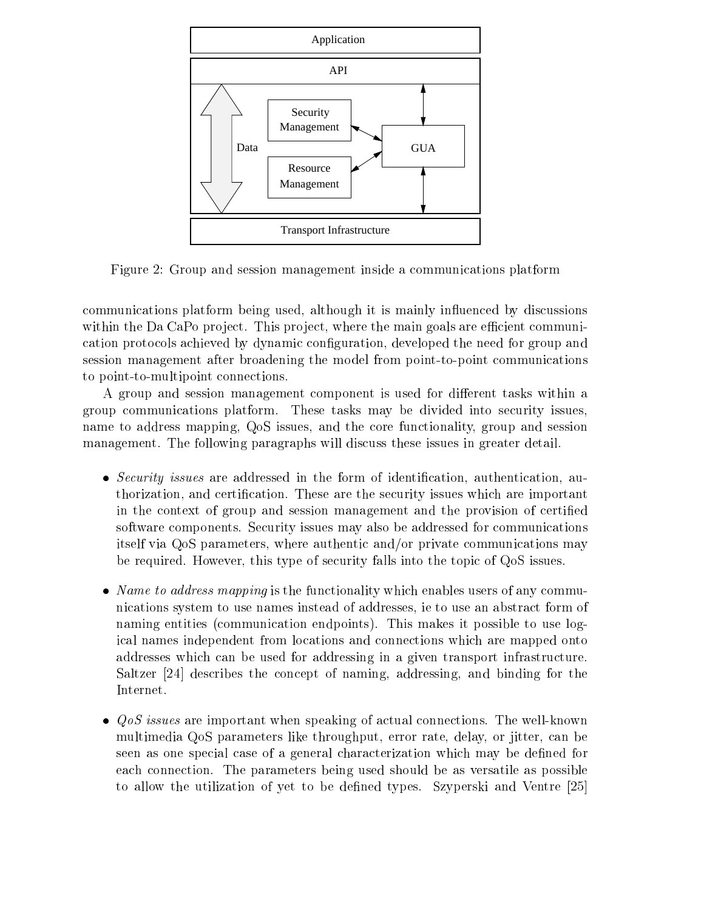

Figure 2: Group and session management inside a communications platform

communications platform being used, although it is mainly in
uenced by discussions within the Da CaPo project. This project, where the main goals are efficient communication protocols achieved by dynamic conguration, developed the need for group and session management after broadening the model from point-to-point communications to point-to-multipoint connections.

A group and session management component is used for different tasks within a group communications platform. These tasks may be divided into security issues, name to address mapping, QoS issues, and the core functionality, group and session management. The following paragraphs will discuss these issues in greater detail.

- Security issues are addressed in the form of identication, authentication, authorization, and certification. These are the security issues which are important in the context of group and session management and the provision of certied software components. Security issues may also be addressed for communications itself via QoS parameters, where authentic and/or private communications may be required. However, this type of security falls into the topic of QoS issues.
- Name to address mapping is the functionality which enables users of any communications system to use names instead of addresses, ie to use an abstract form of naming entities (communication endpoints). This makes it possible to use logical names independent from locations and connections which are mapped onto addresses which can be used for addressing in a given transport infrastructure. Saltzer [24] describes the concept of naming, addressing, and binding for the Internet.
- QoS issues are important when speaking of actual connections. The well-known multimedia QoS parameters like throughput, error rate, delay, or jitter, can be seen as one special case of a general characterization which may be defined for each connection. The parameters being used should be as versatile as possible to allow the utilization of yet to be dened types. Szyperski and Ventre [25]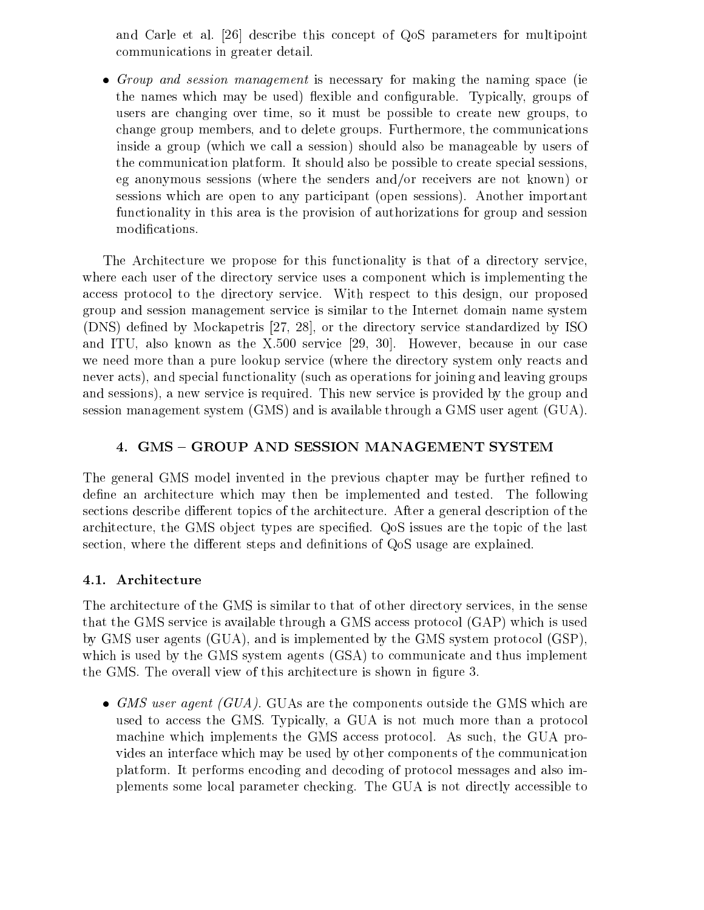and Carle et al. [26] describe this concept of QoS parameters for multipoint communications in greater detail.

 Group and session management is necessary for making the naming space (ie the names which may be used) flexible and configurable. Typically, groups of users are changing over time, so it must be possible to create new groups, to change group members, and to delete groups. Furthermore, the communications inside a group (which we call a session) should also be manageable by users of the communication platform. It should also be possible to create special sessions, eg anonymous sessions (where the senders and/or receivers are not known) or sessions which are open to any participant (open sessions). Another important functionality in this area is the provision of authorizations for group and session modifications.

The Architecture we propose for this functionality is that of a directory service, where each user of the directory service uses a component which is implementing the access protocol to the directory service. With respect to this design, our proposed group and session management service is similar to the Internet domain name system (DNS) defined by Mockapetris [27, 28], or the directory service standardized by ISO and ITU, also known as the X.500 service [29, 30]. However, because in our case we need more than a pure lookup service (where the directory system only reacts and never acts), and special functionality (such as operations for joining and leaving groups and sessions), a new service is required. This new service is provided by the group and session management system (GMS) and is available through a GMS user agent (GUA).

# 4. GMS - GROUP AND SESSION MANAGEMENT SYSTEM

The general GMS model invented in the previous chapter may be further refined to define an architecture which may then be implemented and tested. The following sections describe different topics of the architecture. After a general description of the architecture, the GMS object types are specified. QoS issues are the topic of the last section, where the different steps and definitions of QoS usage are explained.

## 4.1. Architecture

The architecture of the GMS is similar to that of other directory services, in the sense that the GMS service is available through a GMS access protocol (GAP) which is used by GMS user agents (GUA), and is implemented by the GMS system protocol (GSP), which is used by the GMS system agents (GSA) to communicate and thus implement the GMS. The overall view of this architecture is shown in figure 3.

GMS user agent (GUA). GUAS are the components outside the GMS which are the GMS which are the GMS which are the GMS which are the GMS which are the GMS which are the GMS which are the GMS which are the GMS which are the GM used to access the GMS. Typically, a GUA is not much more than a protocol machine which implements the GMS access protocol. As such, the GUA provides an interface which may be used by other components of the communication platform. It performs encoding and decoding of protocol messages and also implements some local parameter checking. The GUA is not directly accessible to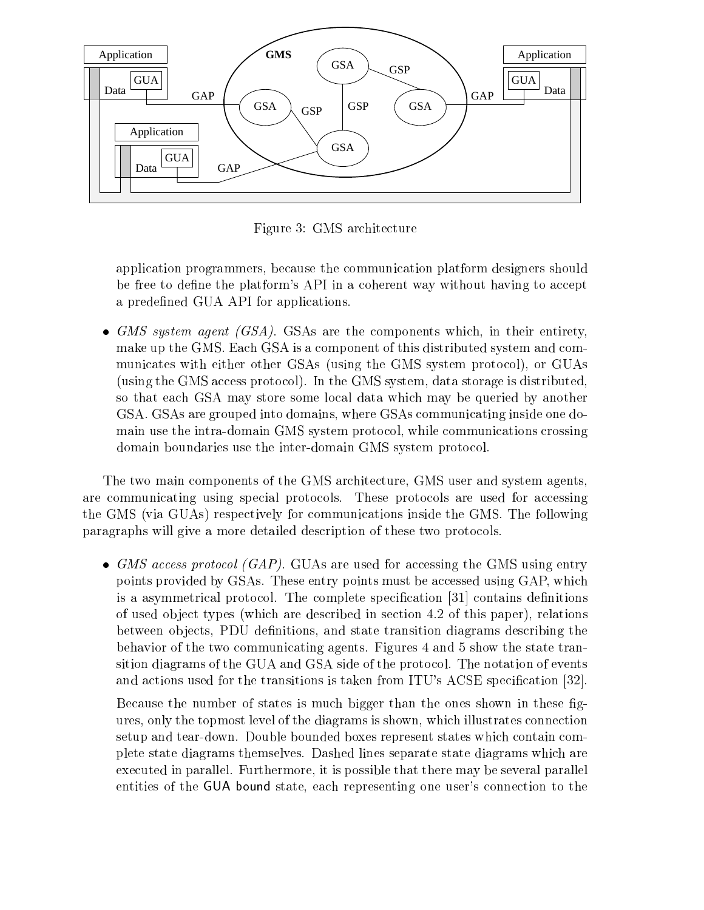

Figure 3: GMS architecture

application programmers, because the communication platform designers should be free to define the platform's API in a coherent way without having to accept a predefined GUA API for applications.

 GMS system agent (GSA). GSAs are the components which, in their entirety, make up the GMS. Each GSA is a component of this distributed system and communicates with either other GSAs (using the GMS system protocol), or GUAs (using the GMS access protocol). In the GMS system, data storage is distributed, so that each GSA may store some local data which may be queried by another GSA. GSAs are grouped into domains, where GSAs communicating inside one domain use the intra-domain GMS system protocol, while communications crossing domain boundaries use the inter-domain GMS system protocol.

The two main components of the GMS architecture, GMS user and system agents, are communicating using special protocols. These protocols are used for accessing the GMS (via GUAs) respectively for communications inside the GMS. The following paragraphs will give a more detailed description of these two protocols.

 GMS access protocol (GAP). GUAs are used for accessing the GMS using entry points provided by GSAs. These entry points must be accessed using GAP, which is a asymmetrical protocol. The complete specification  $[31]$  contains definitions of used ob ject types (which are described in section 4.2 of this paper), relations between objects, PDU definitions, and state transition diagrams describing the behavior of the two communicating agents. Figures 4 and 5 show the state transition diagrams of the GUA and GSA side of the protocol. The notation of events and actions used for the transitions is taken from ITU's ACSE specification  $[32]$ .

Because the number of states is much bigger than the ones shown in these gures, only the topmost level of the diagrams is shown, which illustrates connection setup and tear-down. Double bounded boxes represent states which contain complete state diagrams themselves. Dashed lines separate state diagrams which are executed in parallel. Furthermore, it is possible that there may be several parallel entities of the GUA bound state, each representing one user's connection to the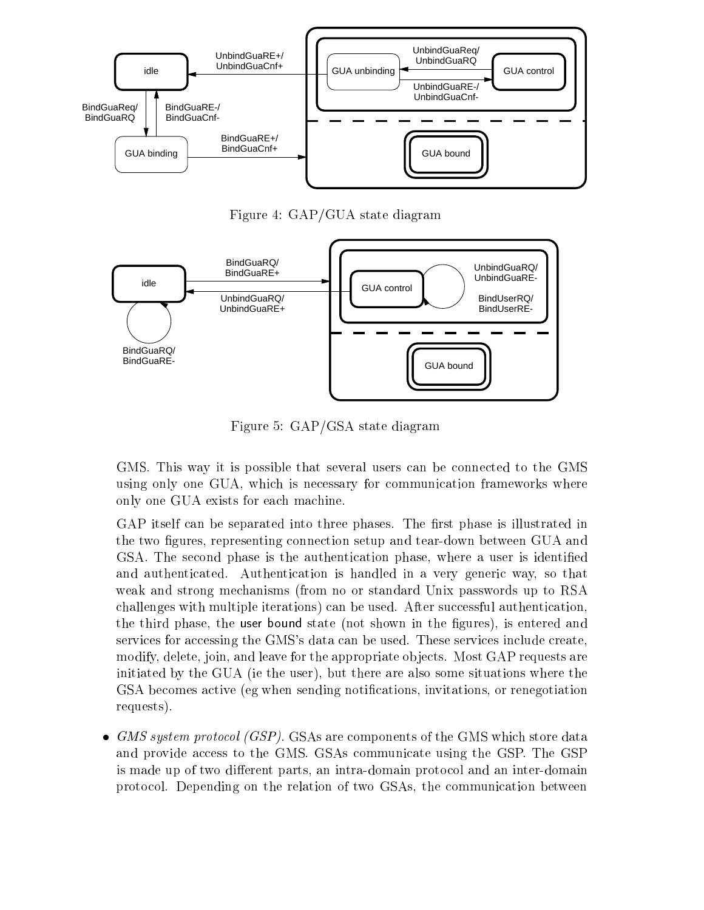

Figure 4: GAP/GUA state diagram



Figure 5: GAP/GSA state diagram

GMS. This way it is possible that several users can be connected to the GMS using only one GUA, which is necessary for communication frameworks where only one GUA exists for each machine.

GAP itself can be separated into three phases. The first phase is illustrated in the two figures, representing connection setup and tear-down between GUA and GSA. The second phase is the authentication phase, where a user is identied and authenticated. Authentication ishandled in a very generic way, so that weak and strong mechanisms (from no or standard Unix passwords up to RSA challenges with multiple iterations) can be used. After successful authentication, the third phase, the user bound state (not shown in the gures), is entered and services for accessing the GMS's data can be used. These services include create, modify, delete, join, and leave for the appropriate objects. Most GAP requests are initiated by the GUA (ie the user), but there are also some situations where the GSA becomes active (eg when sending notifications, invitations, or renegotiation requests).

 GMS system protocol (GSP). GSAs are components of the GMS which store data and provide access to the GMS. GSAs communicate using the GSP. The GSP is made up of two different parts, an intra-domain protocol and an inter-domain protocol. Depending on the relation of two GSAs, the communication between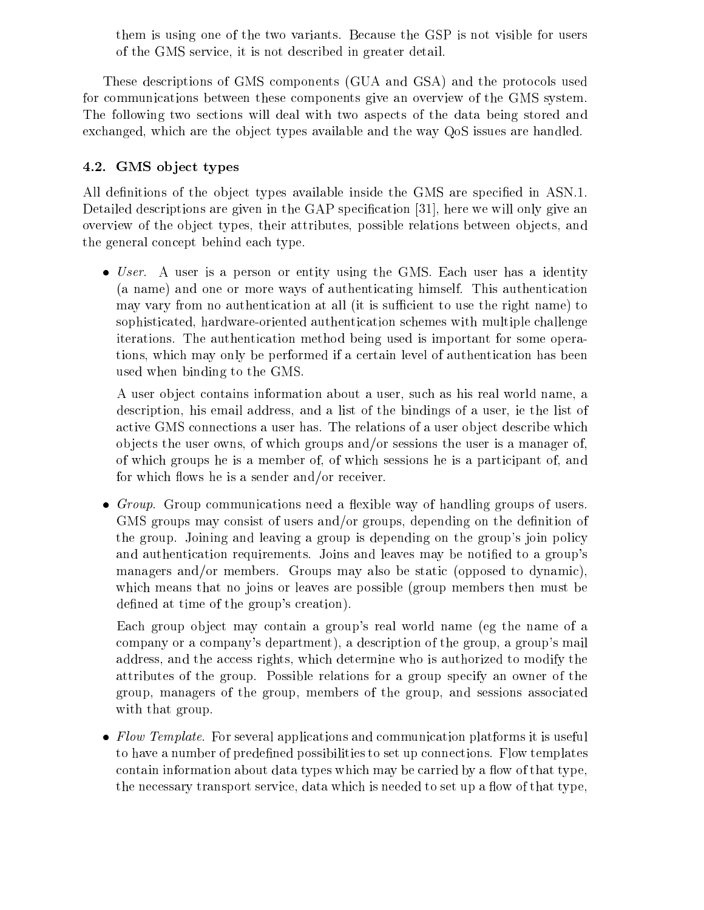them is using one of the two variants. Because the GSP is not visible for users of the GMS service, it is not described in greater detail.

These descriptions of GMS components (GUA and GSA) and the protocols used for communications between these components give an overview of the GMS system. The following two sections will deal with two aspects of the data being stored and exchanged, which are the object types available and the way QoS issues are handled.

# 4.2. GMS object types

All definitions of the object types available inside the GMS are specified in ASN.1. Detailed descriptions are given in the GAP specification [31], here we will only give an overview of the ob ject types, their attributes, possible relations between ob jects, and the general concept behind each type.

 User. A user is a person or entity using the GMS. Each user has a identity (a name) and one or more ways of authenticating himself. This authentication may vary from no authentication at all (it is sufficient to use the right name) to sophisticated, hardware-oriented authentication schemes with multiple challenge iterations. The authentication method being used is important for some operations, which may only be performed if a certain level of authentication has been used when binding to the GMS.

A user ob ject contains information about a user, such as his real world name, a description, his email address, and a list of the bindings of a user, ie the list of active GMS connections a user has. The relations of a user object describe which ob jects the user owns, of which groups and/or sessions the user is a manager of, of which groups he is a member of, of which sessions he is a participant of, and for which flows he is a sender and/or receiver.

Group. Group communications need a contribution of the model  $\alpha$ GMS groups may consist of users and/or groups, depending on the definition of the group. Joining and leaving a group is depending on the group's join policy and authentication requirements. Joins and leaves may be notified to a group's managers and/or members. Groups may also be static (opposed to dynamic), which means that no joins or leaves are possible (group members then must be defined at time of the group's creation).

Each group object may contain a group's real world name (eg the name of a company or a company's department), a description of the group, a group's mail address, and the access rights, which determine who is authorized to modify the attributes of the group. Possible relations for a group specify an owner of the group, managers of the group, members of the group, and sessions associated with that group.

 Flow Template. For several applications and communication platforms it is useful to have a number of predefined possibilities to set up connections. Flow templates contain information about data types which may be carried by a flow of that type. the necessary transport service, data which is needed to set up a flow of that type.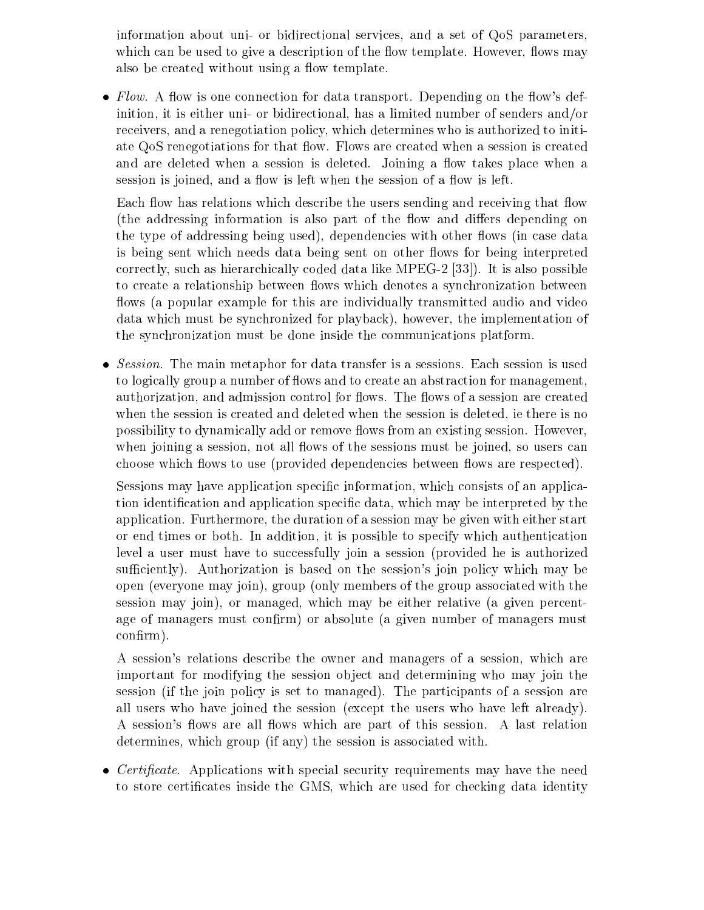information about uni- or bidirectional services, and a set of QoS parameters, which can be used to give a description of the flow template. However, flows may also be created without using a flow template.

• Flow. A flow is one connection for data transport. Depending on the flow's definition, it is either uni- or bidirectional, has a limited number of senders and/or receivers, and a renegotiation policy, which determines who is authorized to initiate QoS renegotiations for that flow. Flows are created when a session is created and are deleted when a session is deleted. Joining a flow takes place when a session is joined, and a flow is left when the session of a flow is left.

Each flow has relations which describe the users sending and receiving that flow (the addressing information is also part of the flow and differs depending on the type of addressing being used), dependencies with other flows (in case data is being sent which needs data being sent on other flows for being interpreted correctly, such as hierarchically coded data like MPEG-2 [33]). It is also possible to create a relationship between flows which denotes a synchronization between flows (a popular example for this are individually transmitted audio and video data which must be synchronized for playback), however, the implementation of the synchronization must be done inside the communications platform.

 Session. The main metaphor for data transfer is a sessions. Each session is used to logically group a number of flows and to create an abstraction for management, authorization, and admission control for flows. The flows of a session are created when the session is created and deleted when the session is deleted, ie there is no possibility to dynamically add or remove flows from an existing session. However, when joining a session, not all flows of the sessions must be joined, so users can choose which flows to use (provided dependencies between flows are respected).

Sessions may have application specific information, which consists of an application identication and application specic data, which may be interpreted by the application. Furthermore, the duration of a session may be given with either start or end times or both. In addition, it is possible to specify which authentication level a user must have to successfully join a session (provided he is authorized sufficiently). Authorization is based on the session's join policy which may be open (everyone may join), group (only members of the group associated with the session may join), or managed, which may be either relative (a given percentage of managers must confirm) or absolute (a given number of managers must confirm).

A session's relations describe the owner and managers of a session, which are important for modifying the session object and determining who may join the session (if the join policy is set to managed). The participants of a session are all users who have joined the session (except the users who have left already). A session's flows are all flows which are part of this session. A last relation determines, which group (if any) the session is associated with.

 Certicate. Applications with special security requirements may have the need to store certificates inside the GMS, which are used for checking data identity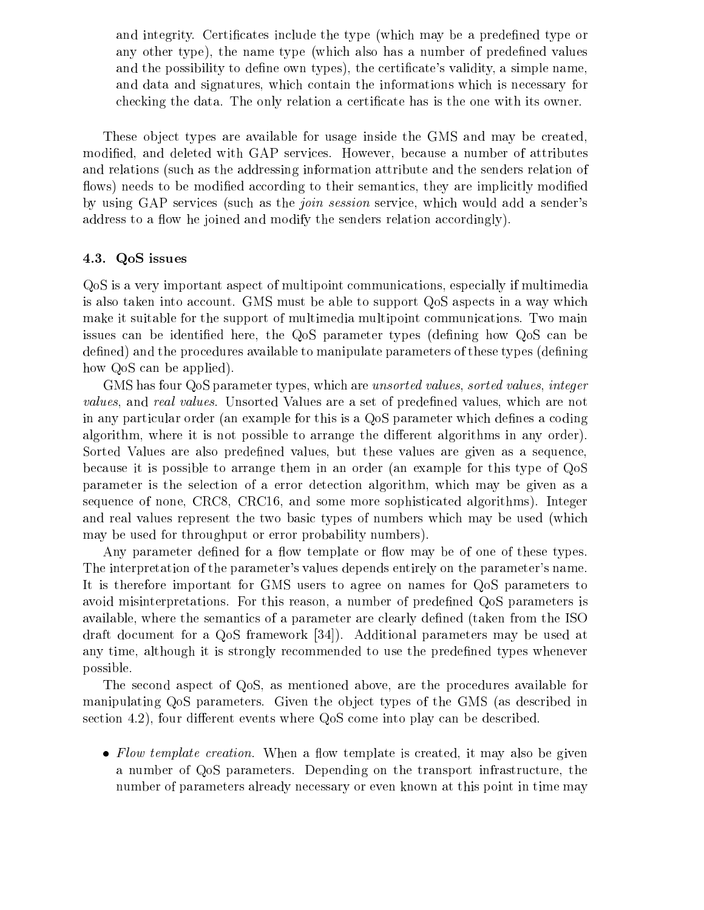and integrity. Certificates include the type (which may be a predefined type or any other type), the name type (which also has a number of predefined values and the possibility to define own types), the certificate's validity, a simple name, and data and signatures, which contain the informations which is necessary for checking the data. The only relation a certicate has is the one with its owner.

These object types are available for usage inside the GMS and may be created. modied, and deleted with GAP services. However, because a number of attributes and relations (such as the addressing information attribute and the senders relation of flows) needs to be modified according to their semantics, they are implicitly modified by using GAP services (such as the join session service, which would add a sender's address to a flow he joined and modify the senders relation accordingly).

### 4.3. QoS issues

QoS is a very important aspect of multipoint communications, especially if multimedia is also taken into account. GMS must be able to support QoS aspects in a way which make it suitable for the support of multimedia multipoint communications. Two main issues can be identified here, the QoS parameter types (defining how QoS can be defined) and the procedures available to manipulate parameters of these types (defining how QoS can be applied).

GMS has four QoS parameter types, which are unsorted values, sorted values, integer values, and real values. Unsorted Values are a set of predefined values, which are not in any particular order (an example for this is a  $Q<sub>o</sub>S$  parameter which defines a coding algorithm, where it is not possible to arrange the different algorithms in any order). Sorted Values are also predefined values, but these values are given as a sequence, because it is possible to arrange them in an order (an example for this type of QoS parameter is the selection of a error detection algorithm, which may be given as a sequence of none, CRC8, CRC16, and some more sophisticated algorithms). Integer and real values represent the two basic types of numbers which may be used (which may be used for throughput or error probability numbers).

Any parameter defined for a flow template or flow may be of one of these types. The interpretation of the parameter's values depends entirely on the parameter's name. It is therefore important for GMS users to agree on names for QoS parameters to avoid misinterpretations. For this reason, a number of predened QoS parameters is available, where the semantics of a parameter are clearly defined (taken from the ISO draft document for a QoS framework [34]). Additional parameters may be used at any time, although it is strongly recommended to use the predefined types whenever possible.

The second aspect of QoS, as mentioned above, are the procedures available for manipulating QoS parameters. Given the object types of the GMS (as described in section 4.2), four different events where QoS come into play can be described.

 Flow template creation. When a ow template is created, it may also be given a number of QoS parameters. Depending on the transport infrastructure, the number of parameters already necessary or even known at this point in time may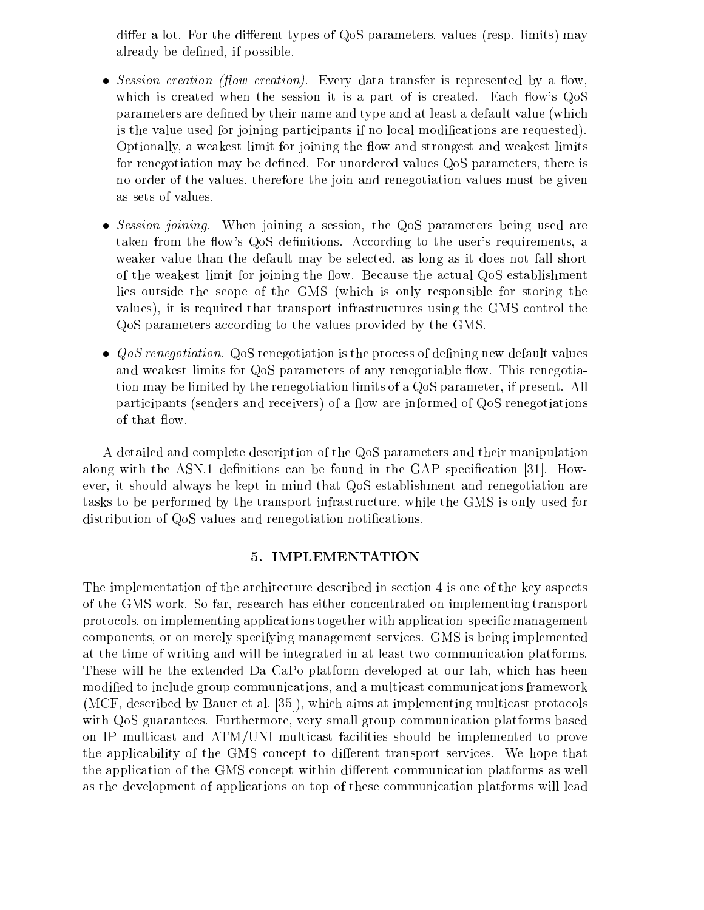differ a lot. For the different types of QoS parameters, values (resp. limits) may already be defined, if possible.

- Session creation (
ow creation). Every data transfer is represented by a ow, which is created when the session it is a part of is created. Each flow's  $Q_0S$ parameters are defined by their name and type and at least a default value (which is the value used for joining participants if no local modications are requested). Optionally, a weakest limit for joining the flow and strongest and weakest limits for renegotiation may be defined. For unordered values QoS parameters, there is no order of the values, therefore the join and renegotiation values must be given as sets of values.
- Session joining. When joining a session, the QoS parameters being used are taken from the flow's QoS definitions. According to the user's requirements, a weaker value than the default may be selected, as long as it does not fall short of the weakest limit for joining the flow. Because the actual QoS establishment lies outside the scope of the GMS (which isonly responsible for storing the values), it is required that transport infrastructures using the GMS control the QoS parameters according to the values provided by the GMS.
- QoS renegotiation. QoS renegotiation is the process of dening new default values and weakest limits for QoS parameters of any renegotiable flow. This renegotiation may be limited by the renegotiation limits of a QoS parameter, if present. All participants (senders and receivers) of a flow are informed of QoS renegotiations of that flow.

A detailed and complete description of the QoS parameters and their manipulation along with the ASN.1 definitions can be found in the GAP specification  $[31]$ . However, it should always be kept in mind that QoS establishment and renegotiation are tasks to be performed by the transport infrastructure, while the GMS is only used for distribution of QoS values and renegotiation notifications.

## 5. IMPLEMENTATION

The implementation of the architecture described in section 4 is one of the key aspects of the GMS work. So far, research has either concentrated on implementing transport protocols, on implementing applications together with application-specic management components, or on merely specifying management services. GMS is being implemented at the time of writing and will be integrated in at least two communication platforms. These will be the extended Da CaPo platform developed at our lab, which has been modied to include group communications, and a multicast communications framework (MCF, described by Bauer et al. [35]), which aims at implementing multicast protocols with QoS guarantees. Furthermore, very small group communication platforms based on IP multicast and ATM/UNI multicast facilities should be implemented to prove the applicability of the GMS concept to different transport services. We hope that the application of the GMS concept within different communication platforms as well as the development of applications on top of these communication platforms will lead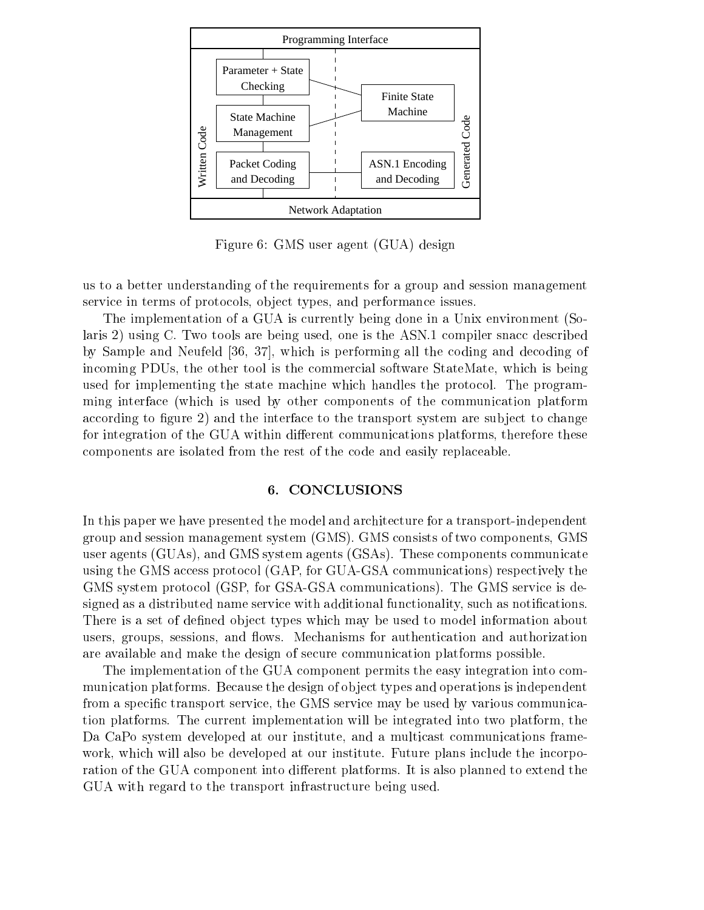

Figure 6: GMS user agent (GUA) design

us to a better understanding of the requirements for a group and session management service in terms of protocols, object types, and performance issues.

The implementation of a GUA is currently being done in a Unix environment (Solaris 2) using C. Two tools are being used, one is the ASN.1 compiler snacc described by Sample and Neufeld [36, 37], which is performing all the coding and decoding of incoming PDUs, the other tool is the commercial software StateMate, which is being used for implementing the state machine which handles the protocol. The programming interface (which is used by other components of the communication platform according to figure 2) and the interface to the transport system are subject to change for integration of the GUA within different communications platforms, therefore these components are isolated from the rest of the code and easily replaceable.

### 6. CONCLUSIONS

In this paper we have presented the model and architecture for a transport-independent group and session management system (GMS). GMS consists of two components, GMS user agents (GUAs), and GMS system agents (GSAs). These components communicate using the GMS access protocol (GAP, for GUA-GSA communications) respectively the GMS system protocol (GSP, for GSA-GSA communications). The GMS service is designed as a distributed name service with additional functionality, such as notifications. There is a set of defined object types which may be used to model information about users, groups, sessions, and flows. Mechanisms for authentication and authorization are available and make the design of secure communication platforms possible.

The implementation of the GUA component permits the easy integration into communication platforms. Because the design of object types and operations is independent from a specific transport service, the GMS service may be used by various communication platforms. The current implementation will be integrated into two platform, the Da CaPo system developed at our institute, and a multicast communications framework, which will also be developed at our institute. Future plans include the incorporation of the GUA component into different platforms. It is also planned to extend the GUA with regard to the transport infrastructure being used.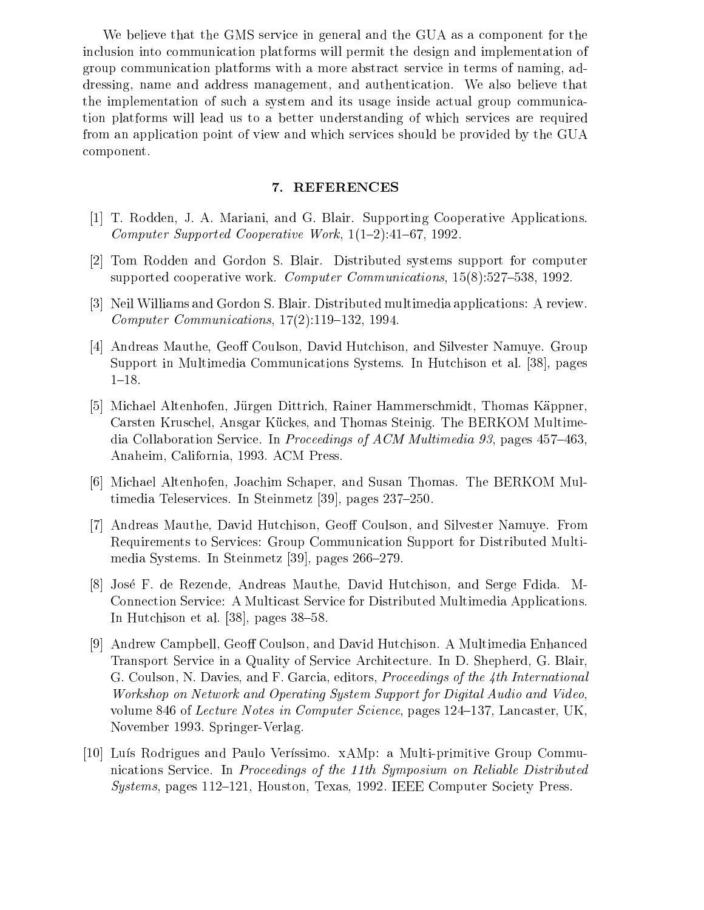We believe that the GMS service in general and the GUA as a component for the inclusion into communication platforms will permit the design and implementation of group communication platforms with a more abstract service in terms of naming, addressing, name and address management, and authentication. We also believe that the implementation of such a system and its usage inside actual group communication platforms will lead us to a better understanding of which services are required from an application point of view and which services should be provided by the GUA component.

### 7. REFERENCES

- [1] T. Rodden, J. A. Mariani, and G. Blair. Supporting Cooperative Applications. Computer Supported Cooperative Work,  $1(1-2):41-67$ , 1992.
- [2] Tom Rodden and Gordon S. Blair. Distributed systems support for computer supported cooperative work. Computer Communications,  $15(8):527-538$ , 1992.
- [3] Neil Williams and Gordon S. Blair. Distributed multimedia applications: A review. Computer Communications,  $17(2):119-132$ , 1994.
- [4] Andreas Mauthe, Geoff Coulson, David Hutchison, and Silvester Namuye. Group Support in Multimedia Communications Systems. In Hutchison etal. [38], pages  $1{-}18.$
- [5] Michael Altenhofen, Jürgen Dittrich, Rainer Hammerschmidt, Thomas Käppner, Carsten Kruschel, Ansgar Kückes, and Thomas Steinig. The BERKOM Multimedia Collaboration Service. In *Proceedings of ACM Multimedia 93*, pages  $457{-}463$ , Anaheim, California, 1993. ACM Press.
- [6] Michael Altenhofen, Joachim Schaper, and Susan Thomas. The BERKOM Multimedia Teleservices. In Steinmetz  $[39]$ , pages  $237-250$ .
- [7] Andreas Mauthe, David Hutchison, Geoff Coulson, and Silvester Namuye. From Requirements to Services: Group Communication Support for Distributed Multimedia Systems. In Steinmetz  $[39]$ , pages  $266-279$ .
- [8] Jose F. de Rezende, Andreas Mauthe, David Hutchison, and Serge Fdida. M-Connection Service: A Multicast Service for Distributed Multimedia Applications. In Hutchison et al.  $[38]$ , pages  $38-58$ .
- [9] Andrew Campbell, Geoff Coulson, and David Hutchison. A Multimedia Enhanced Transport Service in a Quality of Service Architecture. In D. Shepherd, G. Blair, G. Coulson, N. Davies, and F. Garcia, editors, Proceedings of the 4th International Workshop on Network and Operating System Support for Digital Audio and Video, volume 846 of Lecture Notes in Computer Science, pages  $124-137$ , Lancaster, UK. November 1993. Springer-Verlag.
- [10] Luís Rodrigues and Paulo Veríssimo. xAMp: a Multi-primitive Group Communications Service. In Proceedings of the 11th Symposium on Reliable Distributed  $Systems, pages 112–121, Houston, Texas, 1992. IEEE Computer Society Press.$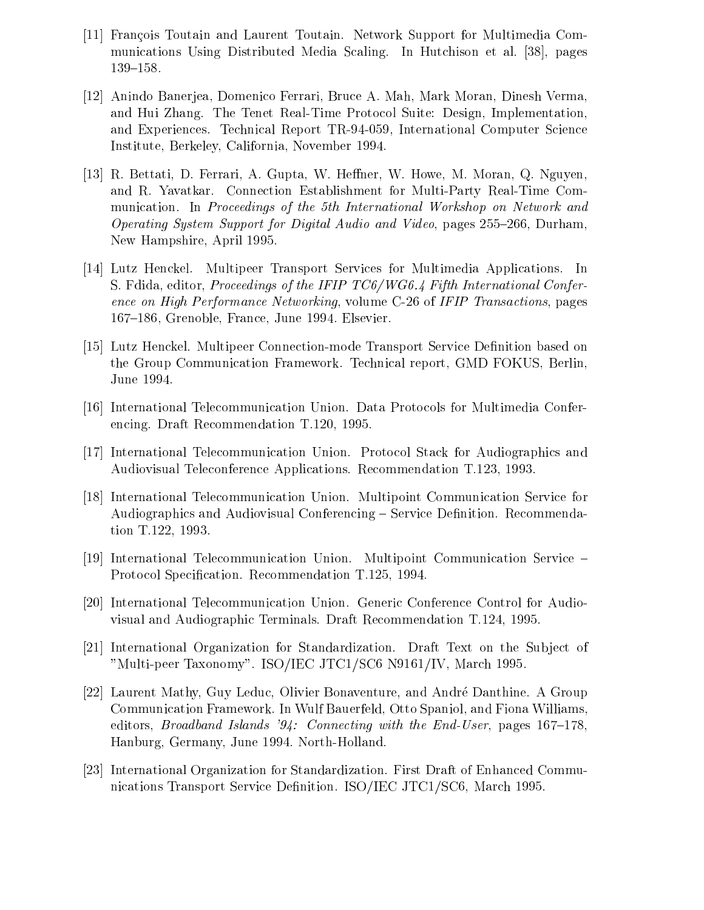- [11] Francois Toutain and Laurent Toutain. Network Support for Multimedia Communications Using Distributed Media Scaling. In Hutchison et al. [38], pages 139-158.
- [12] Anindo Banerjea, Domenico Ferrari, Bruce A. Mah, Mark Moran, Dinesh Verma, and Hui Zhang. The Tenet Real-Time Protocol Suite: Design, Implementation, and Experiences. Technical Report TR-94-059, International Computer Science Institute, Berkeley, California, November 1994.
- [13] R. Bettati, D. Ferrari, A. Gupta, W. Heffner, W. Howe, M. Moran, Q. Nguyen, and R. Yavatkar. Connection Establishment for Multi-Party Real-Time Communication. In Proceedings of the 5th International Workshop on Network and Operating System Support for Digital Audio and Video, pages  $255-266$ , Durham, New Hampshire, April 1995.
- [14] Lutz Henckel. Multipeer Transport Services for Multimedia Applications. In S. Fdida, editor, Proceedings of the IFIP TC6/WG6.4 Fifth International Conference on High Performance Networking, volume C-26 of IFIP Transactions, pages 167-186, Grenoble, France, June 1994. Elsevier.
- [15] Lutz Henckel. Multipeer Connection-mode Transport Service Definition based on the Group Communication Framework. Technical report, GMD FOKUS, Berlin, June 1994.
- [16] International Telecommunication Union. Data Protocols for Multimedia Conferencing. Draft Recommendation T.120, 1995.
- [17] International Telecommunication Union. Protocol Stack for Audiographics and Audiovisual Teleconference Applications. Recommendation T.123, 1993.
- [18] International Telecommunication Union. Multipoint Communication Service for Audiographics and Audiovisual Conferencing - Service Definition. Recommendation T.122, 1993.
- [19] International Telecommunication Union. Multipoint Communication Service Protocol Specification. Recommendation T.125, 1994.
- [20] International Telecommunication Union. Generic Conference Control for Audiovisual and Audiographic Terminals. Draft Recommendation T.124, 1995.
- [21] International Organization for Standardization. Draft Text on the Subject of "Multi-peer Taxonomy". ISO/IEC JTC1/SC6 N9161/IV, March 1995.
- [22] Laurent Mathy, Guy Leduc, Olivier Bonaventure, and Andre Danthine. A Group Communication Framework. In Wulf Bauerfeld, Otto Spaniol, and Fiona Williams, editors, *Broadband Islands* '94: Connecting with the End-User, pages  $167-178$ , Hanburg, Germany, June 1994. North-Holland.
- [23] International Organization for Standardization. First Draft of Enhanced Communications Transport Service Definition. ISO/IEC JTC1/SC6, March 1995.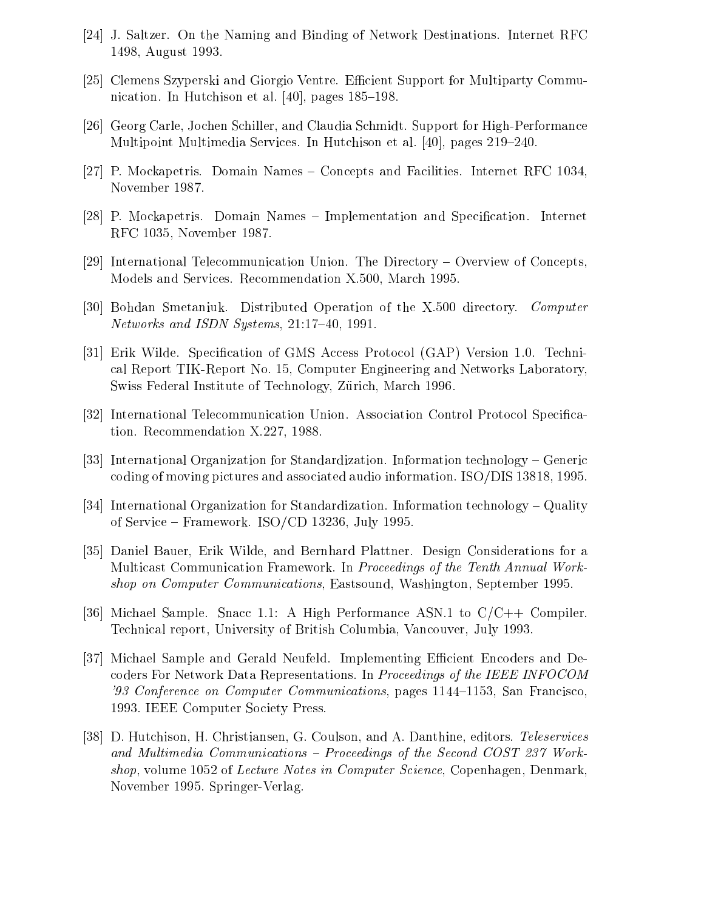- [24] J. Saltzer. On the Naming and Binding of Network Destinations. Internet RFC 1498, August 1993.
- [25] Clemens Szyperski and Giorgio Ventre. Efficient Support for Multiparty Communication. In Hutchison et al.  $[40]$ , pages  $185-198$ .
- [26] Georg Carle, Jochen Schiller, and Claudia Schmidt. Support for High-Performance Multipoint Multimedia Services. In Hutchison et al.  $[40]$ , pages  $219–240$ .
- [27] P. Mockapetris. Domain Names Concepts and Facilities. Internet RFC 1034, November 1987.
- [28] P. Mockapetris. Domain Names Implementation and Specification. Internet RFC 1035, November 1987.
- [29] International Telecommunication Union. The Directory  ${\sim}$  Overview of Concepts. Models and Services. Recommendation X.500, March 1995.
- [30] Bohdan Smetaniuk. Distributed Operation of the X.500 directory. Computer Networks and ISDN Systems,  $21:17-40$ , 1991.
- [31] Erik Wilde. Specification of GMS Access Protocol (GAP) Version 1.0. Technical Report TIK-Report No. 15, Computer Engineering and Networks Laboratory, Swiss Federal Institute of Technology, Zürich, March 1996.
- [32] International Telecommunication Union. Association Control Protocol Specication. Recommendation X.227, 1988.
- [33] International Organization for Standardization. Information technology  ${\sim}$  Generic coding of moving pictures and associated audio information. ISO/DIS 13818, 1995.
- [34] International Organization for Standardization. Information technology  ${\sim}$  Quality of Service – Framework. ISO/CD 13236, July 1995.
- [35] Daniel Bauer, Erik Wilde, and Bernhard Plattner. Design Considerations for a Multicast Communication Framework. In Proceedings of the Tenth Annual Workshop on Computer Communications, Eastsound, Washington, September 1995.
- [36] Michael Sample. Snacc 1.1: A High Performance ASN.1 to  $C/C++$  Compiler. Technical report, University of British Columbia, Vancouver, July 1993.
- [37] Michael Sample and Gerald Neufeld. Implementing Efficient Encoders and Decoders For Network Data Representations. In *Proceedings of the IEEE INFOCOM* '93 Conference on Computer Communications, pages  $1144-1153$ , San Francisco, 1993. IEEE Computer Society Press.
- [38] D. Hutchison, H. Christiansen, G. Coulson, and A. Danthine, editors. Teleservices and Multimedia Communications  $-$  Proceedings of the Second COST 237 Workshop, volume 1052 of Lecture Notes in Computer Science, Copenhagen, Denmark, November 1995. Springer-Verlag.